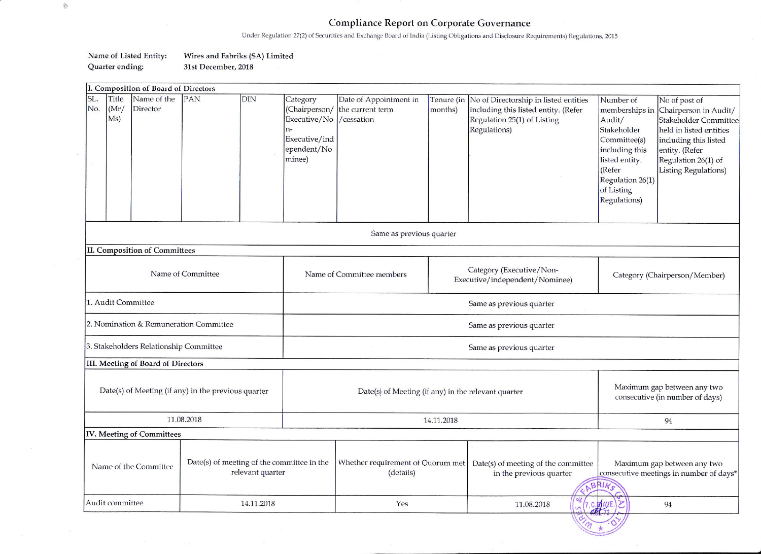## **Compliance Report on Corporate Governance**

Under Regulation 27(2) of Securities and Exchange Board of India (Listing Obligations and Disclosure Requirements) Regulations, 2015

 $\overline{\mathcal{N}}$ 

## Name of Listed Entity: Wires and Fabriks (SA) Limited Quarter ending: 31st December, 2018

 $\sim$  100  $\,$ 

 $\frac{\partial \Delta_{\mu}}{\partial \xi}$ 

| I. Composition of Board of Directors |                                                                                         |                           |            |                                                |                                                                          |                                                                        |                                                                |                                                                                                                                         |                                                                                                                                                                      |                                                                                                                                                                                             |
|--------------------------------------|-----------------------------------------------------------------------------------------|---------------------------|------------|------------------------------------------------|--------------------------------------------------------------------------|------------------------------------------------------------------------|----------------------------------------------------------------|-----------------------------------------------------------------------------------------------------------------------------------------|----------------------------------------------------------------------------------------------------------------------------------------------------------------------|---------------------------------------------------------------------------------------------------------------------------------------------------------------------------------------------|
| SL.<br>No.                           | Title<br>(Mr)<br>Ms)                                                                    | Name of the<br>Director   | <b>PAN</b> | <b>DIN</b>                                     | Category<br>Executive/No<br>n-<br>Executive/ind<br>ependent/No<br>minee) | Date of Appointment in<br>(Chairperson/ the current term<br>/cessation | months)                                                        | Tenure (in No of Directorship in listed entities<br>including this listed entity. (Refer<br>Regulation 25(1) of Listing<br>Regulations) | Number of<br>memberships in<br>Audit/<br>Stakeholder<br>Committee(s)<br>including this<br>listed entity.<br>(Refer<br>Regulation 26(1)<br>of Listing<br>Regulations) | No of post of<br>Chairperson in Audit/<br><b>Stakeholder Committee</b><br>held in listed entities<br>including this listed<br>entity. (Refer<br>Regulation 26(1) of<br>Listing Regulations) |
|                                      | Same as previous quarter                                                                |                           |            |                                                |                                                                          |                                                                        |                                                                |                                                                                                                                         |                                                                                                                                                                      |                                                                                                                                                                                             |
|                                      | <b>II. Composition of Committees</b>                                                    |                           |            |                                                |                                                                          |                                                                        |                                                                |                                                                                                                                         |                                                                                                                                                                      |                                                                                                                                                                                             |
|                                      | Name of Committee                                                                       |                           |            | Name of Committee members                      |                                                                          | Category (Executive/Non-<br>Executive/independent/Nominee)             |                                                                | Category (Chairperson/Member)                                                                                                           |                                                                                                                                                                      |                                                                                                                                                                                             |
|                                      | 1. Audit Committee                                                                      |                           |            |                                                | Same as previous quarter                                                 |                                                                        |                                                                |                                                                                                                                         |                                                                                                                                                                      |                                                                                                                                                                                             |
|                                      | 2. Nomination & Remuneration Committee                                                  |                           |            |                                                | Same as previous quarter                                                 |                                                                        |                                                                |                                                                                                                                         |                                                                                                                                                                      |                                                                                                                                                                                             |
|                                      | 3. Stakeholders Relationship Committee                                                  |                           |            |                                                | Same as previous quarter                                                 |                                                                        |                                                                |                                                                                                                                         |                                                                                                                                                                      |                                                                                                                                                                                             |
| III. Meeting of Board of Directors   |                                                                                         |                           |            |                                                |                                                                          |                                                                        |                                                                |                                                                                                                                         |                                                                                                                                                                      |                                                                                                                                                                                             |
|                                      | Date(s) of Meeting (if any) in the previous quarter                                     |                           |            |                                                | Date(s) of Meeting (if any) in the relevant quarter                      |                                                                        |                                                                |                                                                                                                                         | Maximum gap between any two<br>consecutive (in number of days)                                                                                                       |                                                                                                                                                                                             |
|                                      | 11.08.2018                                                                              |                           |            |                                                | 14.11.2018                                                               |                                                                        |                                                                |                                                                                                                                         | 94                                                                                                                                                                   |                                                                                                                                                                                             |
|                                      |                                                                                         | IV. Meeting of Committees |            |                                                |                                                                          |                                                                        |                                                                |                                                                                                                                         |                                                                                                                                                                      |                                                                                                                                                                                             |
|                                      | Date(s) of meeting of the committee in the<br>Name of the Committee<br>relevant quarter |                           |            | Whether requirement of Quorum met<br>(details) |                                                                          |                                                                        | Date(s) of meeting of the committee<br>in the previous quarter | Maximum gap between any two<br>consecutive meetings in number of days*                                                                  |                                                                                                                                                                      |                                                                                                                                                                                             |
|                                      | Audit committee<br>14.11.2018                                                           |                           |            |                                                | Yes                                                                      |                                                                        | 11.08.2018                                                     | ح<br>94                                                                                                                                 |                                                                                                                                                                      |                                                                                                                                                                                             |
|                                      |                                                                                         |                           |            |                                                |                                                                          |                                                                        |                                                                |                                                                                                                                         |                                                                                                                                                                      |                                                                                                                                                                                             |